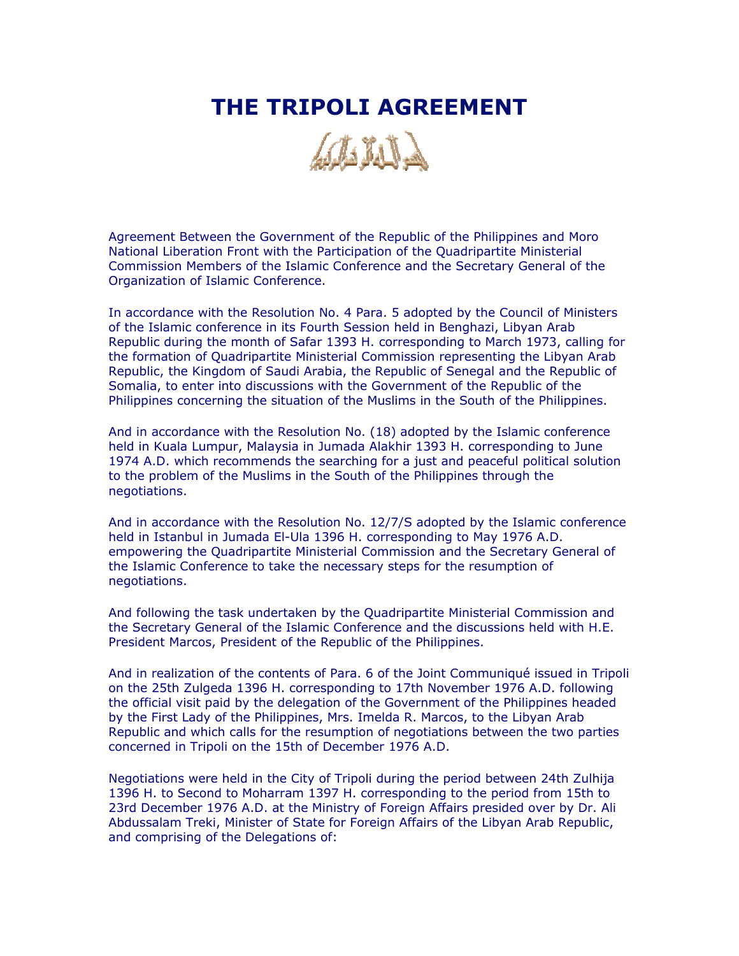## **THE TRIPOLI AGREEMENT**



Agreement Between the Government of the Republic of the Philippines and Moro National Liberation Front with the Participation of the Quadripartite Ministerial Commission Members of the Islamic Conference and the Secretary General of the Organization of Islamic Conference.

In accordance with the Resolution No. 4 Para. 5 adopted by the Council of Ministers of the Islamic conference in its Fourth Session held in Benghazi, Libyan Arab Republic during the month of Safar 1393 H. corresponding to March 1973, calling for the formation of Quadripartite Ministerial Commission representing the Libyan Arab Republic, the Kingdom of Saudi Arabia, the Republic of Senegal and the Republic of Somalia, to enter into discussions with the Government of the Republic of the Philippines concerning the situation of the Muslims in the South of the Philippines.

And in accordance with the Resolution No. (18) adopted by the Islamic conference held in Kuala Lumpur, Malaysia in Jumada Alakhir 1393 H. corresponding to June 1974 A.D. which recommends the searching for a just and peaceful political solution to the problem of the Muslims in the South of the Philippines through the negotiations.

And in accordance with the Resolution No. 12/7/S adopted by the Islamic conference held in Istanbul in Jumada El-Ula 1396 H. corresponding to May 1976 A.D. empowering the Quadripartite Ministerial Commission and the Secretary General of the Islamic Conference to take the necessary steps for the resumption of negotiations.

And following the task undertaken by the Quadripartite Ministerial Commission and the Secretary General of the Islamic Conference and the discussions held with H.E. President Marcos, President of the Republic of the Philippines.

And in realization of the contents of Para. 6 of the Joint Communiqué issued in Tripoli on the 25th Zulgeda 1396 H. corresponding to 17th November 1976 A.D. following the official visit paid by the delegation of the Government of the Philippines headed by the First Lady of the Philippines, Mrs. Imelda R. Marcos, to the Libyan Arab Republic and which calls for the resumption of negotiations between the two parties concerned in Tripoli on the 15th of December 1976 A.D.

Negotiations were held in the City of Tripoli during the period between 24th Zulhija 1396 H. to Second to Moharram 1397 H. corresponding to the period from 15th to 23rd December 1976 A.D. at the Ministry of Foreign Affairs presided over by Dr. Ali Abdussalam Treki, Minister of State for Foreign Affairs of the Libyan Arab Republic, and comprising of the Delegations of: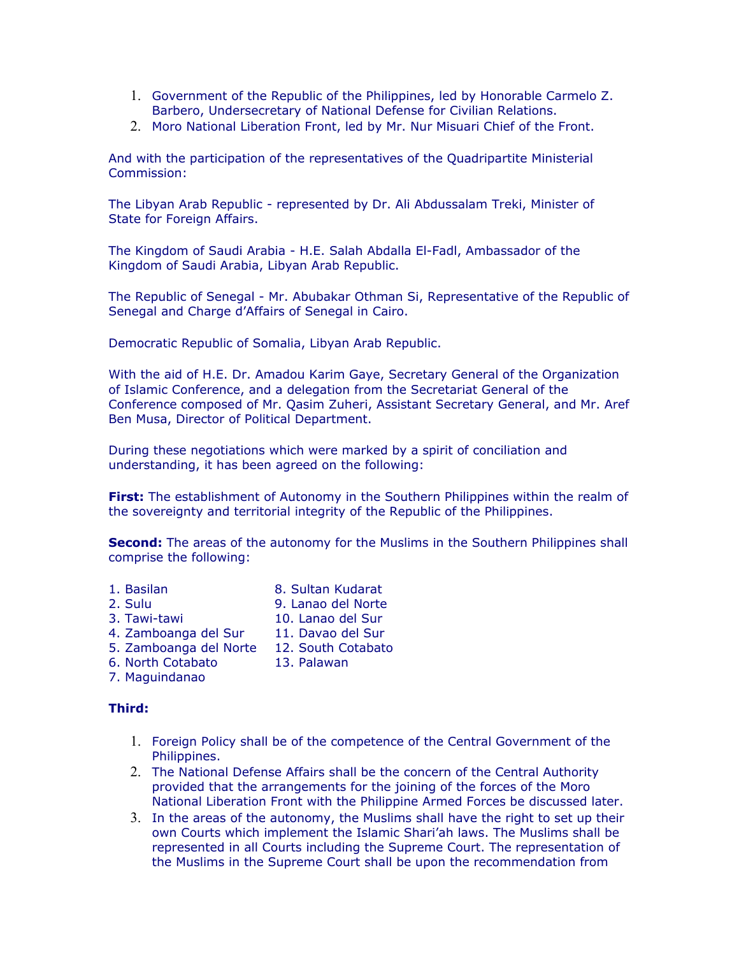- 1. Government of the Republic of the Philippines, led by Honorable Carmelo Z. Barbero, Undersecretary of National Defense for Civilian Relations.
- 2. Moro National Liberation Front, led by Mr. Nur Misuari Chief of the Front.

And with the participation of the representatives of the Quadripartite Ministerial Commission:

The Libyan Arab Republic - represented by Dr. Ali Abdussalam Treki, Minister of State for Foreign Affairs.

The Kingdom of Saudi Arabia - H.E. Salah Abdalla El-Fadl, Ambassador of the Kingdom of Saudi Arabia, Libyan Arab Republic.

The Republic of Senegal - Mr. Abubakar Othman Si, Representative of the Republic of Senegal and Charge d'Affairs of Senegal in Cairo.

Democratic Republic of Somalia, Libyan Arab Republic.

With the aid of H.E. Dr. Amadou Karim Gaye, Secretary General of the Organization of Islamic Conference, and a delegation from the Secretariat General of the Conference composed of Mr. Qasim Zuheri, Assistant Secretary General, and Mr. Aref Ben Musa, Director of Political Department.

During these negotiations which were marked by a spirit of conciliation and understanding, it has been agreed on the following:

**First:** The establishment of Autonomy in the Southern Philippines within the realm of the sovereignty and territorial integrity of the Republic of the Philippines.

**Second:** The areas of the autonomy for the Muslims in the Southern Philippines shall comprise the following:

- 1. Basilan 8. Sultan Kudarat 2. Sulu 9. Lanao del Norte
- 3. Tawi-tawi 10. Lanao del Sur
- 4. Zamboanga del Sur 11. Davao del Sur
- 
- 5. Zamboanga del Norte 12. South Cotabato
- 6. North Cotabato 13. Palawan
- 7. Maguindanao

## **Third:**

- 1. Foreign Policy shall be of the competence of the Central Government of the Philippines.
- 2. The National Defense Affairs shall be the concern of the Central Authority provided that the arrangements for the joining of the forces of the Moro National Liberation Front with the Philippine Armed Forces be discussed later.
- 3. In the areas of the autonomy, the Muslims shall have the right to set up their own Courts which implement the Islamic Shari'ah laws. The Muslims shall be represented in all Courts including the Supreme Court. The representation of the Muslims in the Supreme Court shall be upon the recommendation from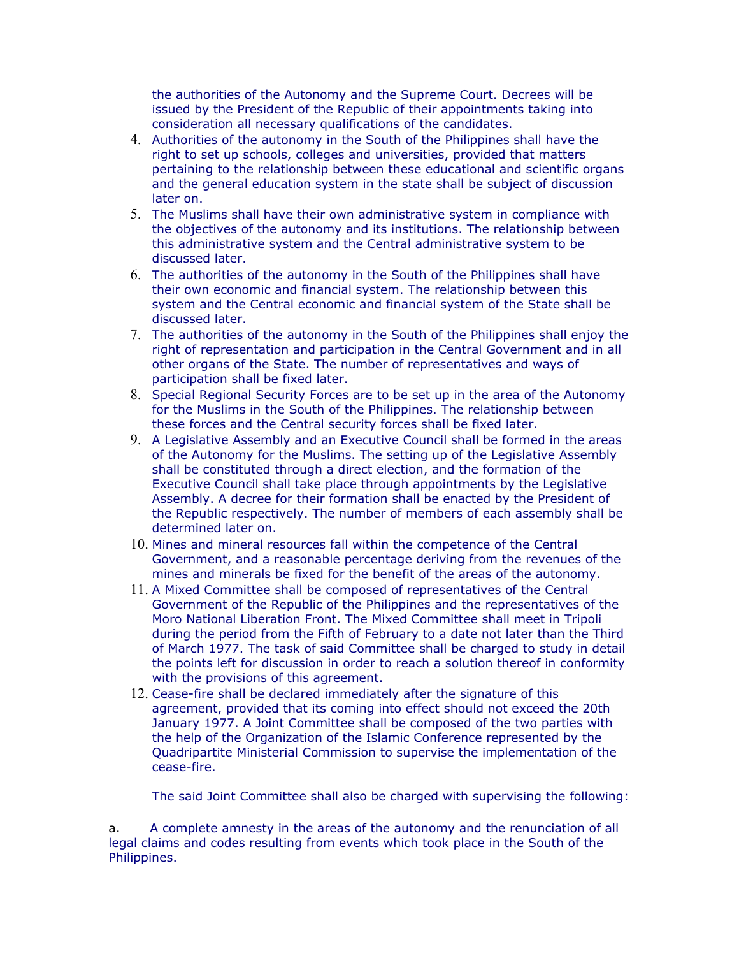the authorities of the Autonomy and the Supreme Court. Decrees will be issued by the President of the Republic of their appointments taking into consideration all necessary qualifications of the candidates.

- 4. Authorities of the autonomy in the South of the Philippines shall have the right to set up schools, colleges and universities, provided that matters pertaining to the relationship between these educational and scientific organs and the general education system in the state shall be subject of discussion later on.
- 5. The Muslims shall have their own administrative system in compliance with the objectives of the autonomy and its institutions. The relationship between this administrative system and the Central administrative system to be discussed later.
- 6. The authorities of the autonomy in the South of the Philippines shall have their own economic and financial system. The relationship between this system and the Central economic and financial system of the State shall be discussed later.
- 7. The authorities of the autonomy in the South of the Philippines shall enjoy the right of representation and participation in the Central Government and in all other organs of the State. The number of representatives and ways of participation shall be fixed later.
- 8. Special Regional Security Forces are to be set up in the area of the Autonomy for the Muslims in the South of the Philippines. The relationship between these forces and the Central security forces shall be fixed later.
- 9. A Legislative Assembly and an Executive Council shall be formed in the areas of the Autonomy for the Muslims. The setting up of the Legislative Assembly shall be constituted through a direct election, and the formation of the Executive Council shall take place through appointments by the Legislative Assembly. A decree for their formation shall be enacted by the President of the Republic respectively. The number of members of each assembly shall be determined later on.
- 10. Mines and mineral resources fall within the competence of the Central Government, and a reasonable percentage deriving from the revenues of the mines and minerals be fixed for the benefit of the areas of the autonomy.
- 11. A Mixed Committee shall be composed of representatives of the Central Government of the Republic of the Philippines and the representatives of the Moro National Liberation Front. The Mixed Committee shall meet in Tripoli during the period from the Fifth of February to a date not later than the Third of March 1977. The task of said Committee shall be charged to study in detail the points left for discussion in order to reach a solution thereof in conformity with the provisions of this agreement.
- 12. Cease-fire shall be declared immediately after the signature of this agreement, provided that its coming into effect should not exceed the 20th January 1977. A Joint Committee shall be composed of the two parties with the help of the Organization of the Islamic Conference represented by the Quadripartite Ministerial Commission to supervise the implementation of the cease-fire.

The said Joint Committee shall also be charged with supervising the following:

a. A complete amnesty in the areas of the autonomy and the renunciation of all legal claims and codes resulting from events which took place in the South of the Philippines.